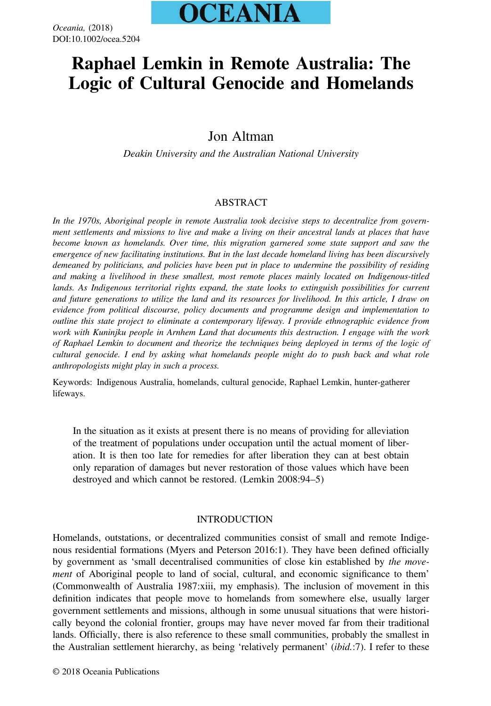# Raphael Lemkin in Remote Australia: The Logic of Cultural Genocide and Homelands

**OCEANIA** 

# Jon Altman

Deakin University and the Australian National University

# ABSTRACT

In the 1970s, Aboriginal people in remote Australia took decisive steps to decentralize from government settlements and missions to live and make a living on their ancestral lands at places that have become known as homelands. Over time, this migration garnered some state support and saw the emergence of new facilitating institutions. But in the last decade homeland living has been discursively demeaned by politicians, and policies have been put in place to undermine the possibility of residing and making a livelihood in these smallest, most remote places mainly located on Indigenous-titled lands. As Indigenous territorial rights expand, the state looks to extinguish possibilities for current and future generations to utilize the land and its resources for livelihood. In this article, I draw on evidence from political discourse, policy documents and programme design and implementation to outline this state project to eliminate a contemporary lifeway. I provide ethnographic evidence from work with Kuninjku people in Arnhem Land that documents this destruction. I engage with the work of Raphael Lemkin to document and theorize the techniques being deployed in terms of the logic of cultural genocide. I end by asking what homelands people might do to push back and what role anthropologists might play in such a process.

Keywords: Indigenous Australia, homelands, cultural genocide, Raphael Lemkin, hunter-gatherer lifeways.

In the situation as it exists at present there is no means of providing for alleviation of the treatment of populations under occupation until the actual moment of liberation. It is then too late for remedies for after liberation they can at best obtain only reparation of damages but never restoration of those values which have been destroyed and which cannot be restored. (Lemkin 2008:94–5)

# **INTRODUCTION**

Homelands, outstations, or decentralized communities consist of small and remote Indigenous residential formations (Myers and Peterson 2016:1). They have been defined officially by government as 'small decentralised communities of close kin established by the movement of Aboriginal people to land of social, cultural, and economic significance to them' (Commonwealth of Australia 1987:xiii, my emphasis). The inclusion of movement in this definition indicates that people move to homelands from somewhere else, usually larger government settlements and missions, although in some unusual situations that were historically beyond the colonial frontier, groups may have never moved far from their traditional lands. Officially, there is also reference to these small communities, probably the smallest in the Australian settlement hierarchy, as being 'relatively permanent' (ibid.:7). I refer to these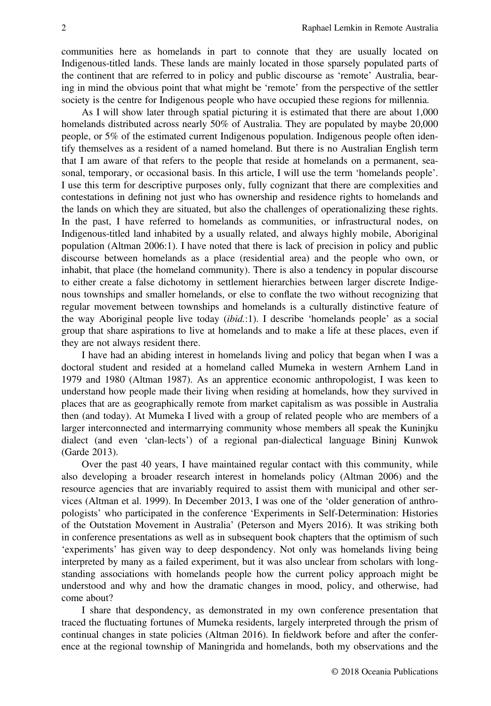communities here as homelands in part to connote that they are usually located on Indigenous-titled lands. These lands are mainly located in those sparsely populated parts of the continent that are referred to in policy and public discourse as 'remote' Australia, bearing in mind the obvious point that what might be 'remote' from the perspective of the settler society is the centre for Indigenous people who have occupied these regions for millennia.

As I will show later through spatial picturing it is estimated that there are about 1,000 homelands distributed across nearly 50% of Australia. They are populated by maybe 20,000 people, or 5% of the estimated current Indigenous population. Indigenous people often identify themselves as a resident of a named homeland. But there is no Australian English term that I am aware of that refers to the people that reside at homelands on a permanent, seasonal, temporary, or occasional basis. In this article, I will use the term 'homelands people'. I use this term for descriptive purposes only, fully cognizant that there are complexities and contestations in defining not just who has ownership and residence rights to homelands and the lands on which they are situated, but also the challenges of operationalizing these rights. In the past, I have referred to homelands as communities, or infrastructural nodes, on Indigenous-titled land inhabited by a usually related, and always highly mobile, Aboriginal population (Altman 2006:1). I have noted that there is lack of precision in policy and public discourse between homelands as a place (residential area) and the people who own, or inhabit, that place (the homeland community). There is also a tendency in popular discourse to either create a false dichotomy in settlement hierarchies between larger discrete Indigenous townships and smaller homelands, or else to conflate the two without recognizing that regular movement between townships and homelands is a culturally distinctive feature of the way Aboriginal people live today (ibid.:1). I describe 'homelands people' as a social group that share aspirations to live at homelands and to make a life at these places, even if they are not always resident there.

I have had an abiding interest in homelands living and policy that began when I was a doctoral student and resided at a homeland called Mumeka in western Arnhem Land in 1979 and 1980 (Altman 1987). As an apprentice economic anthropologist, I was keen to understand how people made their living when residing at homelands, how they survived in places that are as geographically remote from market capitalism as was possible in Australia then (and today). At Mumeka I lived with a group of related people who are members of a larger interconnected and intermarrying community whose members all speak the Kuninjku dialect (and even 'clan-lects') of a regional pan-dialectical language Bininj Kunwok (Garde 2013).

Over the past 40 years, I have maintained regular contact with this community, while also developing a broader research interest in homelands policy (Altman 2006) and the resource agencies that are invariably required to assist them with municipal and other services (Altman et al. 1999). In December 2013, I was one of the 'older generation of anthropologists' who participated in the conference 'Experiments in Self-Determination: Histories of the Outstation Movement in Australia' (Peterson and Myers 2016). It was striking both in conference presentations as well as in subsequent book chapters that the optimism of such 'experiments' has given way to deep despondency. Not only was homelands living being interpreted by many as a failed experiment, but it was also unclear from scholars with longstanding associations with homelands people how the current policy approach might be understood and why and how the dramatic changes in mood, policy, and otherwise, had come about?

I share that despondency, as demonstrated in my own conference presentation that traced the fluctuating fortunes of Mumeka residents, largely interpreted through the prism of continual changes in state policies (Altman 2016). In fieldwork before and after the conference at the regional township of Maningrida and homelands, both my observations and the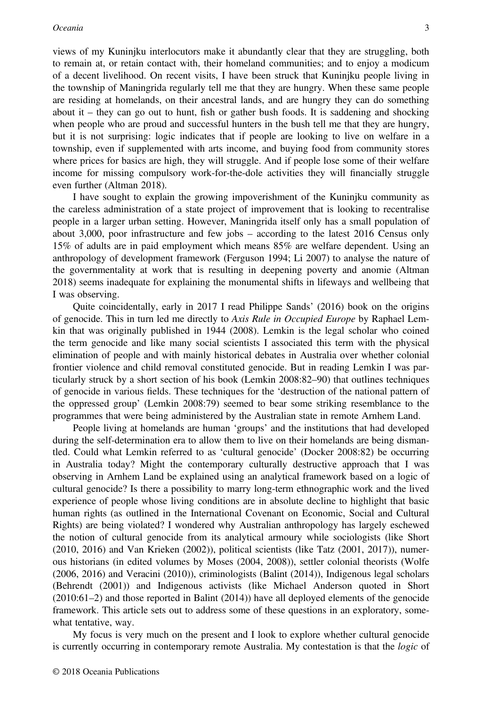views of my Kuninjku interlocutors make it abundantly clear that they are struggling, both to remain at, or retain contact with, their homeland communities; and to enjoy a modicum of a decent livelihood. On recent visits, I have been struck that Kuninjku people living in the township of Maningrida regularly tell me that they are hungry. When these same people are residing at homelands, on their ancestral lands, and are hungry they can do something about it – they can go out to hunt, fish or gather bush foods. It is saddening and shocking when people who are proud and successful hunters in the bush tell me that they are hungry, but it is not surprising: logic indicates that if people are looking to live on welfare in a township, even if supplemented with arts income, and buying food from community stores where prices for basics are high, they will struggle. And if people lose some of their welfare income for missing compulsory work-for-the-dole activities they will financially struggle even further (Altman 2018).

I have sought to explain the growing impoverishment of the Kuninjku community as the careless administration of a state project of improvement that is looking to recentralise people in a larger urban setting. However, Maningrida itself only has a small population of about 3,000, poor infrastructure and few jobs – according to the latest 2016 Census only 15% of adults are in paid employment which means 85% are welfare dependent. Using an anthropology of development framework (Ferguson 1994; Li 2007) to analyse the nature of the governmentality at work that is resulting in deepening poverty and anomie (Altman 2018) seems inadequate for explaining the monumental shifts in lifeways and wellbeing that I was observing.

Quite coincidentally, early in 2017 I read Philippe Sands' (2016) book on the origins of genocide. This in turn led me directly to Axis Rule in Occupied Europe by Raphael Lemkin that was originally published in 1944 (2008). Lemkin is the legal scholar who coined the term genocide and like many social scientists I associated this term with the physical elimination of people and with mainly historical debates in Australia over whether colonial frontier violence and child removal constituted genocide. But in reading Lemkin I was particularly struck by a short section of his book (Lemkin 2008:82–90) that outlines techniques of genocide in various fields. These techniques for the 'destruction of the national pattern of the oppressed group' (Lemkin 2008:79) seemed to bear some striking resemblance to the programmes that were being administered by the Australian state in remote Arnhem Land.

People living at homelands are human 'groups' and the institutions that had developed during the self-determination era to allow them to live on their homelands are being dismantled. Could what Lemkin referred to as 'cultural genocide' (Docker 2008:82) be occurring in Australia today? Might the contemporary culturally destructive approach that I was observing in Arnhem Land be explained using an analytical framework based on a logic of cultural genocide? Is there a possibility to marry long-term ethnographic work and the lived experience of people whose living conditions are in absolute decline to highlight that basic human rights (as outlined in the International Covenant on Economic, Social and Cultural Rights) are being violated? I wondered why Australian anthropology has largely eschewed the notion of cultural genocide from its analytical armoury while sociologists (like Short (2010, 2016) and Van Krieken (2002)), political scientists (like Tatz (2001, 2017)), numerous historians (in edited volumes by Moses (2004, 2008)), settler colonial theorists (Wolfe (2006, 2016) and Veracini (2010)), criminologists (Balint (2014)), Indigenous legal scholars (Behrendt (2001)) and Indigenous activists (like Michael Anderson quoted in Short (2010:61–2) and those reported in Balint (2014)) have all deployed elements of the genocide framework. This article sets out to address some of these questions in an exploratory, somewhat tentative, way.

My focus is very much on the present and I look to explore whether cultural genocide is currently occurring in contemporary remote Australia. My contestation is that the *logic* of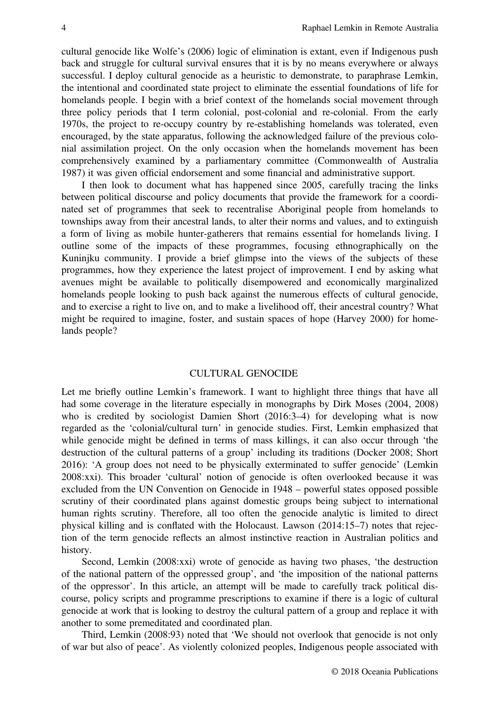cultural genocide like Wolfe's (2006) logic of elimination is extant, even if Indigenous push back and struggle for cultural survival ensures that it is by no means everywhere or always successful. I deploy cultural genocide as a heuristic to demonstrate, to paraphrase Lemkin, the intentional and coordinated state project to eliminate the essential foundations of life for homelands people. I begin with a brief context of the homelands social movement through three policy periods that I term colonial, post-colonial and re-colonial. From the early 1970s, the project to re-occupy country by re-establishing homelands was tolerated, even encouraged, by the state apparatus, following the acknowledged failure of the previous colonial assimilation project. On the only occasion when the homelands movement has been comprehensively examined by a parliamentary committee (Commonwealth of Australia 1987) it was given official endorsement and some financial and administrative support.

I then look to document what has happened since 2005, carefully tracing the links between political discourse and policy documents that provide the framework for a coordinated set of programmes that seek to recentralise Aboriginal people from homelands to townships away from their ancestral lands, to alter their norms and values, and to extinguish a form of living as mobile hunter-gatherers that remains essential for homelands living. I outline some of the impacts of these programmes, focusing ethnographically on the Kuninjku community. I provide a brief glimpse into the views of the subjects of these programmes, how they experience the latest project of improvement. I end by asking what avenues might be available to politically disempowered and economically marginalized homelands people looking to push back against the numerous effects of cultural genocide, and to exercise a right to live on, and to make a livelihood off, their ancestral country? What might be required to imagine, foster, and sustain spaces of hope (Harvey 2000) for homelands people?

#### CULTURAL GENOCIDE

Let me briefly outline Lemkin's framework. I want to highlight three things that have all had some coverage in the literature especially in monographs by Dirk Moses (2004, 2008) who is credited by sociologist Damien Short (2016:3–4) for developing what is now regarded as the 'colonial/cultural turn' in genocide studies. First, Lemkin emphasized that while genocide might be defined in terms of mass killings, it can also occur through 'the destruction of the cultural patterns of a group' including its traditions (Docker 2008; Short 2016): 'A group does not need to be physically exterminated to suffer genocide' (Lemkin 2008:xxi). This broader 'cultural' notion of genocide is often overlooked because it was excluded from the UN Convention on Genocide in 1948 – powerful states opposed possible scrutiny of their coordinated plans against domestic groups being subject to international human rights scrutiny. Therefore, all too often the genocide analytic is limited to direct physical killing and is conflated with the Holocaust. Lawson (2014:15–7) notes that rejection of the term genocide reflects an almost instinctive reaction in Australian politics and history.

Second, Lemkin (2008:xxi) wrote of genocide as having two phases, 'the destruction of the national pattern of the oppressed group', and 'the imposition of the national patterns of the oppressor'. In this article, an attempt will be made to carefully track political discourse, policy scripts and programme prescriptions to examine if there is a logic of cultural genocide at work that is looking to destroy the cultural pattern of a group and replace it with another to some premeditated and coordinated plan.

Third, Lemkin (2008:93) noted that 'We should not overlook that genocide is not only of war but also of peace'. As violently colonized peoples, Indigenous people associated with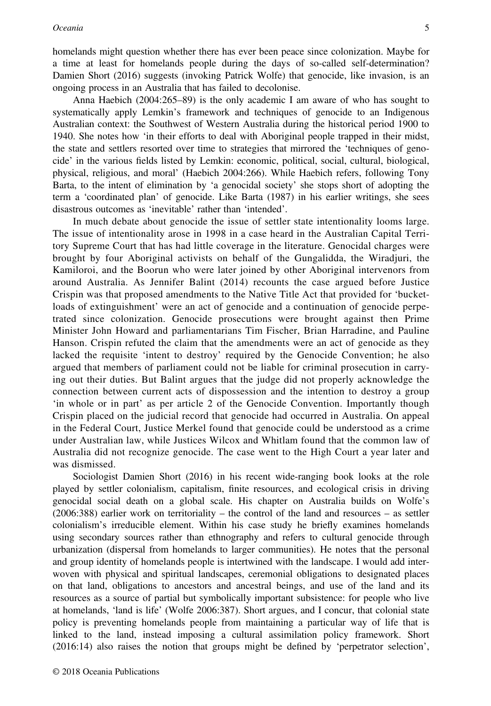homelands might question whether there has ever been peace since colonization. Maybe for a time at least for homelands people during the days of so-called self-determination? Damien Short (2016) suggests (invoking Patrick Wolfe) that genocide, like invasion, is an ongoing process in an Australia that has failed to decolonise.

Anna Haebich (2004:265–89) is the only academic I am aware of who has sought to systematically apply Lemkin's framework and techniques of genocide to an Indigenous Australian context: the Southwest of Western Australia during the historical period 1900 to 1940. She notes how 'in their efforts to deal with Aboriginal people trapped in their midst, the state and settlers resorted over time to strategies that mirrored the 'techniques of genocide' in the various fields listed by Lemkin: economic, political, social, cultural, biological, physical, religious, and moral' (Haebich 2004:266). While Haebich refers, following Tony Barta, to the intent of elimination by 'a genocidal society' she stops short of adopting the term a 'coordinated plan' of genocide. Like Barta (1987) in his earlier writings, she sees disastrous outcomes as 'inevitable' rather than 'intended'.

In much debate about genocide the issue of settler state intentionality looms large. The issue of intentionality arose in 1998 in a case heard in the Australian Capital Territory Supreme Court that has had little coverage in the literature. Genocidal charges were brought by four Aboriginal activists on behalf of the Gungalidda, the Wiradjuri, the Kamiloroi, and the Boorun who were later joined by other Aboriginal intervenors from around Australia. As Jennifer Balint (2014) recounts the case argued before Justice Crispin was that proposed amendments to the Native Title Act that provided for 'bucketloads of extinguishment' were an act of genocide and a continuation of genocide perpetrated since colonization. Genocide prosecutions were brought against then Prime Minister John Howard and parliamentarians Tim Fischer, Brian Harradine, and Pauline Hanson. Crispin refuted the claim that the amendments were an act of genocide as they lacked the requisite 'intent to destroy' required by the Genocide Convention; he also argued that members of parliament could not be liable for criminal prosecution in carrying out their duties. But Balint argues that the judge did not properly acknowledge the connection between current acts of dispossession and the intention to destroy a group 'in whole or in part' as per article 2 of the Genocide Convention. Importantly though Crispin placed on the judicial record that genocide had occurred in Australia. On appeal in the Federal Court, Justice Merkel found that genocide could be understood as a crime under Australian law, while Justices Wilcox and Whitlam found that the common law of Australia did not recognize genocide. The case went to the High Court a year later and was dismissed.

Sociologist Damien Short (2016) in his recent wide-ranging book looks at the role played by settler colonialism, capitalism, finite resources, and ecological crisis in driving genocidal social death on a global scale. His chapter on Australia builds on Wolfe's (2006:388) earlier work on territoriality – the control of the land and resources – as settler colonialism's irreducible element. Within his case study he briefly examines homelands using secondary sources rather than ethnography and refers to cultural genocide through urbanization (dispersal from homelands to larger communities). He notes that the personal and group identity of homelands people is intertwined with the landscape. I would add interwoven with physical and spiritual landscapes, ceremonial obligations to designated places on that land, obligations to ancestors and ancestral beings, and use of the land and its resources as a source of partial but symbolically important subsistence: for people who live at homelands, 'land is life' (Wolfe 2006:387). Short argues, and I concur, that colonial state policy is preventing homelands people from maintaining a particular way of life that is linked to the land, instead imposing a cultural assimilation policy framework. Short (2016:14) also raises the notion that groups might be defined by 'perpetrator selection',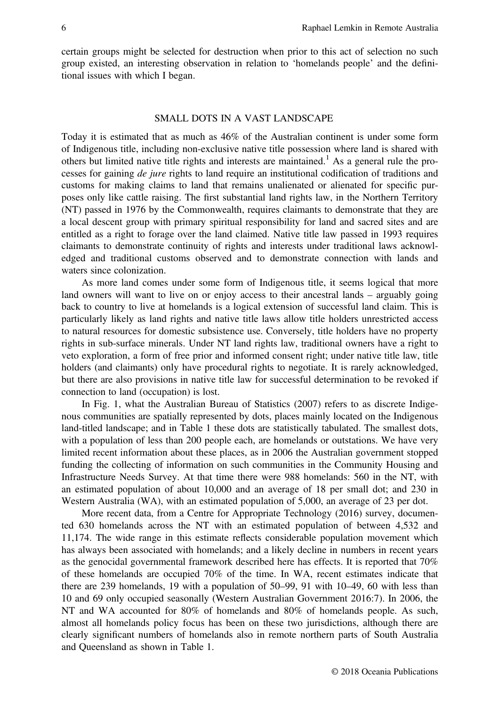certain groups might be selected for destruction when prior to this act of selection no such group existed, an interesting observation in relation to 'homelands people' and the definitional issues with which I began.

#### SMALL DOTS IN A VAST LANDSCAPE

Today it is estimated that as much as 46% of the Australian continent is under some form of Indigenous title, including non-exclusive native title possession where land is shared with others but limited native title rights and interests are maintained.<sup>1</sup> As a general rule the processes for gaining de jure rights to land require an institutional codification of traditions and customs for making claims to land that remains unalienated or alienated for specific purposes only like cattle raising. The first substantial land rights law, in the Northern Territory (NT) passed in 1976 by the Commonwealth, requires claimants to demonstrate that they are a local descent group with primary spiritual responsibility for land and sacred sites and are entitled as a right to forage over the land claimed. Native title law passed in 1993 requires claimants to demonstrate continuity of rights and interests under traditional laws acknowledged and traditional customs observed and to demonstrate connection with lands and waters since colonization.

As more land comes under some form of Indigenous title, it seems logical that more land owners will want to live on or enjoy access to their ancestral lands – arguably going back to country to live at homelands is a logical extension of successful land claim. This is particularly likely as land rights and native title laws allow title holders unrestricted access to natural resources for domestic subsistence use. Conversely, title holders have no property rights in sub-surface minerals. Under NT land rights law, traditional owners have a right to veto exploration, a form of free prior and informed consent right; under native title law, title holders (and claimants) only have procedural rights to negotiate. It is rarely acknowledged, but there are also provisions in native title law for successful determination to be revoked if connection to land (occupation) is lost.

In Fig. 1, what the Australian Bureau of Statistics (2007) refers to as discrete Indigenous communities are spatially represented by dots, places mainly located on the Indigenous land-titled landscape; and in Table 1 these dots are statistically tabulated. The smallest dots, with a population of less than 200 people each, are homelands or outstations. We have very limited recent information about these places, as in 2006 the Australian government stopped funding the collecting of information on such communities in the Community Housing and Infrastructure Needs Survey. At that time there were 988 homelands: 560 in the NT, with an estimated population of about 10,000 and an average of 18 per small dot; and 230 in Western Australia (WA), with an estimated population of 5,000, an average of 23 per dot.

More recent data, from a Centre for Appropriate Technology (2016) survey, documented 630 homelands across the NT with an estimated population of between 4,532 and 11,174. The wide range in this estimate reflects considerable population movement which has always been associated with homelands; and a likely decline in numbers in recent years as the genocidal governmental framework described here has effects. It is reported that 70% of these homelands are occupied 70% of the time. In WA, recent estimates indicate that there are 239 homelands, 19 with a population of 50–99, 91 with 10–49, 60 with less than 10 and 69 only occupied seasonally (Western Australian Government 2016:7). In 2006, the NT and WA accounted for 80% of homelands and 80% of homelands people. As such, almost all homelands policy focus has been on these two jurisdictions, although there are clearly significant numbers of homelands also in remote northern parts of South Australia and Queensland as shown in Table 1.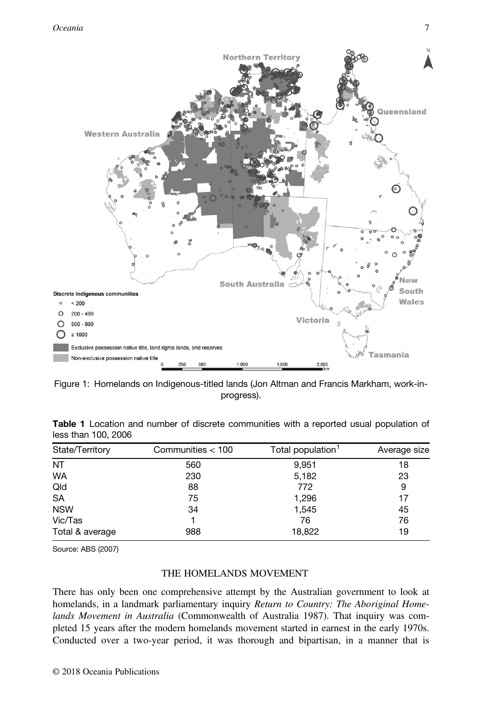

Figure 1: Homelands on Indigenous-titled lands (Jon Altman and Francis Markham, work-inprogress).

|                     |  |  | <b>Table 1</b> Location and number of discrete communities with a reported usual population of |  |  |  |
|---------------------|--|--|------------------------------------------------------------------------------------------------|--|--|--|
| less than 100, 2006 |  |  |                                                                                                |  |  |  |

| State/Territory | Communities $<$ 100 | Total population | Average size |
|-----------------|---------------------|------------------|--------------|
| NT              | 560                 | 9.951            | 18           |
| <b>WA</b>       | 230                 | 5,182            | 23           |
| Qld             | 88                  | 772              | 9            |
| <b>SA</b>       | 75                  | 1,296            | 17           |
| <b>NSW</b>      | 34                  | 1,545            | 45           |
| Vic/Tas         |                     | 76               | 76           |
| Total & average | 988                 | 18,822           | 19           |

Source: ABS (2007)

# THE HOMELANDS MOVEMENT

There has only been one comprehensive attempt by the Australian government to look at homelands, in a landmark parliamentary inquiry Return to Country: The Aboriginal Homelands Movement in Australia (Commonwealth of Australia 1987). That inquiry was completed 15 years after the modern homelands movement started in earnest in the early 1970s. Conducted over a two-year period, it was thorough and bipartisan, in a manner that is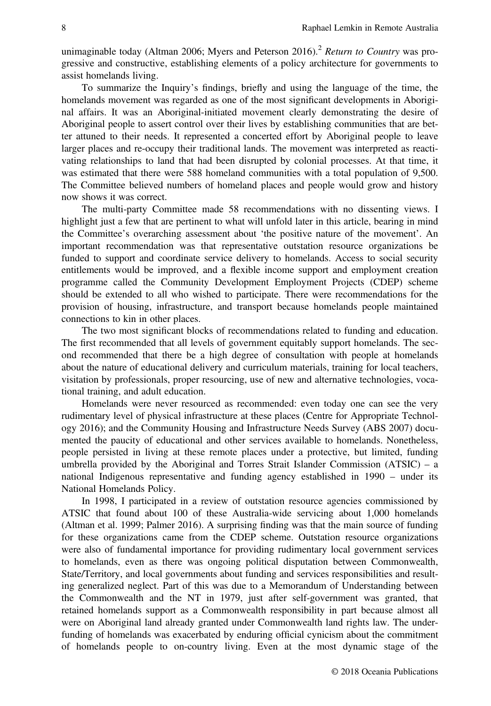unimaginable today (Altman 2006; Myers and Peterson 2016).<sup>2</sup> Return to Country was progressive and constructive, establishing elements of a policy architecture for governments to assist homelands living.

To summarize the Inquiry's findings, briefly and using the language of the time, the homelands movement was regarded as one of the most significant developments in Aboriginal affairs. It was an Aboriginal-initiated movement clearly demonstrating the desire of Aboriginal people to assert control over their lives by establishing communities that are better attuned to their needs. It represented a concerted effort by Aboriginal people to leave larger places and re-occupy their traditional lands. The movement was interpreted as reactivating relationships to land that had been disrupted by colonial processes. At that time, it was estimated that there were 588 homeland communities with a total population of 9,500. The Committee believed numbers of homeland places and people would grow and history now shows it was correct.

The multi-party Committee made 58 recommendations with no dissenting views. I highlight just a few that are pertinent to what will unfold later in this article, bearing in mind the Committee's overarching assessment about 'the positive nature of the movement'. An important recommendation was that representative outstation resource organizations be funded to support and coordinate service delivery to homelands. Access to social security entitlements would be improved, and a flexible income support and employment creation programme called the Community Development Employment Projects (CDEP) scheme should be extended to all who wished to participate. There were recommendations for the provision of housing, infrastructure, and transport because homelands people maintained connections to kin in other places.

The two most significant blocks of recommendations related to funding and education. The first recommended that all levels of government equitably support homelands. The second recommended that there be a high degree of consultation with people at homelands about the nature of educational delivery and curriculum materials, training for local teachers, visitation by professionals, proper resourcing, use of new and alternative technologies, vocational training, and adult education.

Homelands were never resourced as recommended: even today one can see the very rudimentary level of physical infrastructure at these places (Centre for Appropriate Technology 2016); and the Community Housing and Infrastructure Needs Survey (ABS 2007) documented the paucity of educational and other services available to homelands. Nonetheless, people persisted in living at these remote places under a protective, but limited, funding umbrella provided by the Aboriginal and Torres Strait Islander Commission (ATSIC) – a national Indigenous representative and funding agency established in 1990 – under its National Homelands Policy.

In 1998, I participated in a review of outstation resource agencies commissioned by ATSIC that found about 100 of these Australia-wide servicing about 1,000 homelands (Altman et al. 1999; Palmer 2016). A surprising finding was that the main source of funding for these organizations came from the CDEP scheme. Outstation resource organizations were also of fundamental importance for providing rudimentary local government services to homelands, even as there was ongoing political disputation between Commonwealth, State/Territory, and local governments about funding and services responsibilities and resulting generalized neglect. Part of this was due to a Memorandum of Understanding between the Commonwealth and the NT in 1979, just after self-government was granted, that retained homelands support as a Commonwealth responsibility in part because almost all were on Aboriginal land already granted under Commonwealth land rights law. The underfunding of homelands was exacerbated by enduring official cynicism about the commitment of homelands people to on-country living. Even at the most dynamic stage of the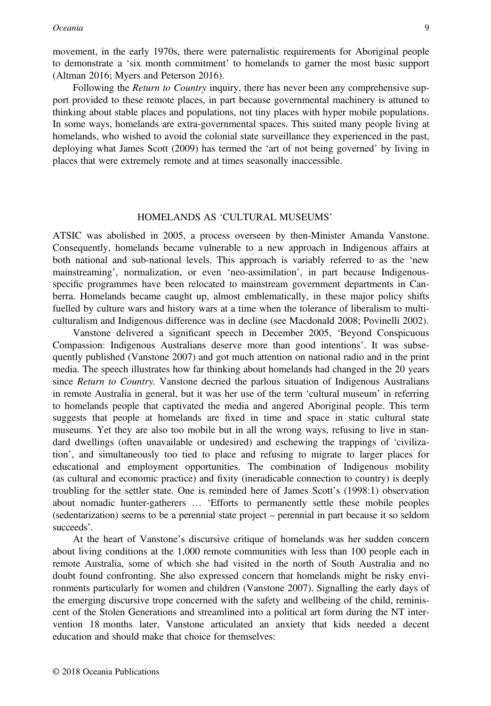movement, in the early 1970s, there were paternalistic requirements for Aboriginal people to demonstrate a 'six month commitment' to homelands to garner the most basic support (Altman 2016; Myers and Peterson 2016).

Following the *Return to Country* inquiry, there has never been any comprehensive support provided to these remote places, in part because governmental machinery is attuned to thinking about stable places and populations, not tiny places with hyper mobile populations. In some ways, homelands are extra-governmental spaces. This suited many people living at homelands, who wished to avoid the colonial state surveillance they experienced in the past, deploying what James Scott (2009) has termed the 'art of not being governed' by living in places that were extremely remote and at times seasonally inaccessible.

#### HOMELANDS AS 'CULTURAL MUSEUMS'

ATSIC was abolished in 2005, a process overseen by then-Minister Amanda Vanstone. Consequently, homelands became vulnerable to a new approach in Indigenous affairs at both national and sub-national levels. This approach is variably referred to as the 'new mainstreaming', normalization, or even 'neo-assimilation', in part because Indigenousspecific programmes have been relocated to mainstream government departments in Canberra. Homelands became caught up, almost emblematically, in these major policy shifts fuelled by culture wars and history wars at a time when the tolerance of liberalism to multiculturalism and Indigenous difference was in decline (see Macdonald 2008; Povinelli 2002).

Vanstone delivered a significant speech in December 2005, 'Beyond Conspicuous Compassion: Indigenous Australians deserve more than good intentions'. It was subsequently published (Vanstone 2007) and got much attention on national radio and in the print media. The speech illustrates how far thinking about homelands had changed in the 20 years since Return to Country. Vanstone decried the parlous situation of Indigenous Australians in remote Australia in general, but it was her use of the term 'cultural museum' in referring to homelands people that captivated the media and angered Aboriginal people. This term suggests that people at homelands are fixed in time and space in static cultural state museums. Yet they are also too mobile but in all the wrong ways, refusing to live in standard dwellings (often unavailable or undesired) and eschewing the trappings of 'civilization', and simultaneously too tied to place and refusing to migrate to larger places for educational and employment opportunities. The combination of Indigenous mobility (as cultural and economic practice) and fixity (ineradicable connection to country) is deeply troubling for the settler state. One is reminded here of James Scott's (1998:1) observation about nomadic hunter-gatherers … 'Efforts to permanently settle these mobile peoples (sedentarization) seems to be a perennial state project – perennial in part because it so seldom succeeds'.

At the heart of Vanstone's discursive critique of homelands was her sudden concern about living conditions at the 1,000 remote communities with less than 100 people each in remote Australia, some of which she had visited in the north of South Australia and no doubt found confronting. She also expressed concern that homelands might be risky environments particularly for women and children (Vanstone 2007). Signalling the early days of the emerging discursive trope concerned with the safety and wellbeing of the child, reminiscent of the Stolen Generations and streamlined into a political art form during the NT intervention 18 months later, Vanstone articulated an anxiety that kids needed a decent education and should make that choice for themselves: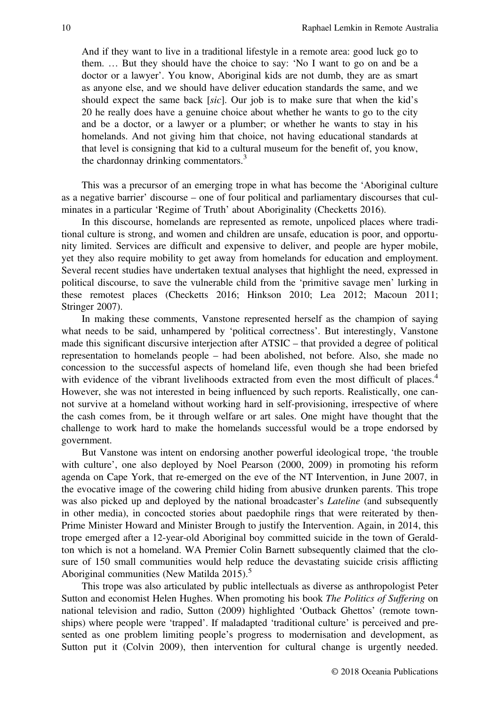And if they want to live in a traditional lifestyle in a remote area: good luck go to them. … But they should have the choice to say: 'No I want to go on and be a doctor or a lawyer'. You know, Aboriginal kids are not dumb, they are as smart as anyone else, and we should have deliver education standards the same, and we should expect the same back [sic]. Our job is to make sure that when the kid's 20 he really does have a genuine choice about whether he wants to go to the city and be a doctor, or a lawyer or a plumber; or whether he wants to stay in his homelands. And not giving him that choice, not having educational standards at that level is consigning that kid to a cultural museum for the benefit of, you know, the chardonnay drinking commentators. $3$ 

This was a precursor of an emerging trope in what has become the 'Aboriginal culture as a negative barrier' discourse – one of four political and parliamentary discourses that culminates in a particular 'Regime of Truth' about Aboriginality (Checketts 2016).

In this discourse, homelands are represented as remote, unpoliced places where traditional culture is strong, and women and children are unsafe, education is poor, and opportunity limited. Services are difficult and expensive to deliver, and people are hyper mobile, yet they also require mobility to get away from homelands for education and employment. Several recent studies have undertaken textual analyses that highlight the need, expressed in political discourse, to save the vulnerable child from the 'primitive savage men' lurking in these remotest places (Checketts 2016; Hinkson 2010; Lea 2012; Macoun 2011; Stringer 2007).

In making these comments, Vanstone represented herself as the champion of saying what needs to be said, unhampered by 'political correctness'. But interestingly, Vanstone made this significant discursive interjection after ATSIC – that provided a degree of political representation to homelands people – had been abolished, not before. Also, she made no concession to the successful aspects of homeland life, even though she had been briefed with evidence of the vibrant livelihoods extracted from even the most difficult of places.<sup>4</sup> However, she was not interested in being influenced by such reports. Realistically, one cannot survive at a homeland without working hard in self-provisioning, irrespective of where the cash comes from, be it through welfare or art sales. One might have thought that the challenge to work hard to make the homelands successful would be a trope endorsed by government.

But Vanstone was intent on endorsing another powerful ideological trope, 'the trouble with culture', one also deployed by Noel Pearson (2000, 2009) in promoting his reform agenda on Cape York, that re-emerged on the eve of the NT Intervention, in June 2007, in the evocative image of the cowering child hiding from abusive drunken parents. This trope was also picked up and deployed by the national broadcaster's *Lateline* (and subsequently in other media), in concocted stories about paedophile rings that were reiterated by then-Prime Minister Howard and Minister Brough to justify the Intervention. Again, in 2014, this trope emerged after a 12-year-old Aboriginal boy committed suicide in the town of Geraldton which is not a homeland. WA Premier Colin Barnett subsequently claimed that the closure of 150 small communities would help reduce the devastating suicide crisis afflicting Aboriginal communities (New Matilda 2015).<sup>5</sup>

This trope was also articulated by public intellectuals as diverse as anthropologist Peter Sutton and economist Helen Hughes. When promoting his book The Politics of Suffering on national television and radio, Sutton (2009) highlighted 'Outback Ghettos' (remote townships) where people were 'trapped'. If maladapted 'traditional culture' is perceived and presented as one problem limiting people's progress to modernisation and development, as Sutton put it (Colvin 2009), then intervention for cultural change is urgently needed.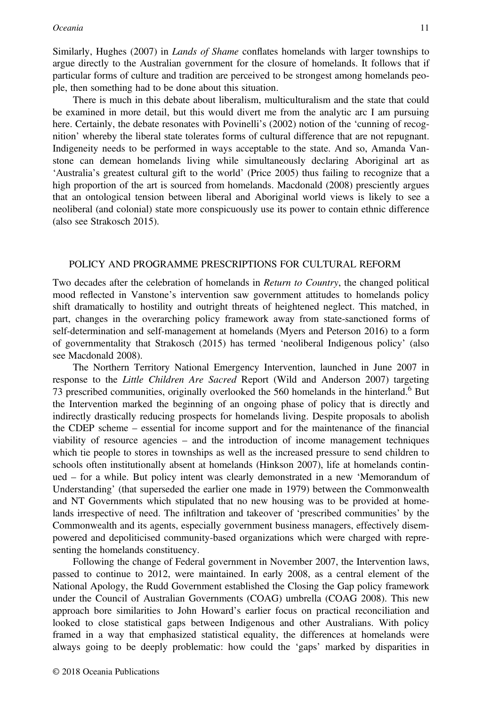Similarly, Hughes (2007) in Lands of Shame conflates homelands with larger townships to argue directly to the Australian government for the closure of homelands. It follows that if particular forms of culture and tradition are perceived to be strongest among homelands people, then something had to be done about this situation.

There is much in this debate about liberalism, multiculturalism and the state that could be examined in more detail, but this would divert me from the analytic arc I am pursuing here. Certainly, the debate resonates with Povinelli's (2002) notion of the 'cunning of recognition' whereby the liberal state tolerates forms of cultural difference that are not repugnant. Indigeneity needs to be performed in ways acceptable to the state. And so, Amanda Vanstone can demean homelands living while simultaneously declaring Aboriginal art as 'Australia's greatest cultural gift to the world' (Price 2005) thus failing to recognize that a high proportion of the art is sourced from homelands. Macdonald (2008) presciently argues that an ontological tension between liberal and Aboriginal world views is likely to see a neoliberal (and colonial) state more conspicuously use its power to contain ethnic difference (also see Strakosch 2015).

### POLICY AND PROGRAMME PRESCRIPTIONS FOR CULTURAL REFORM

Two decades after the celebration of homelands in Return to Country, the changed political mood reflected in Vanstone's intervention saw government attitudes to homelands policy shift dramatically to hostility and outright threats of heightened neglect. This matched, in part, changes in the overarching policy framework away from state-sanctioned forms of self-determination and self-management at homelands (Myers and Peterson 2016) to a form of governmentality that Strakosch (2015) has termed 'neoliberal Indigenous policy' (also see Macdonald 2008).

The Northern Territory National Emergency Intervention, launched in June 2007 in response to the Little Children Are Sacred Report (Wild and Anderson 2007) targeting 73 prescribed communities, originally overlooked the 560 homelands in the hinterland.<sup>6</sup> But the Intervention marked the beginning of an ongoing phase of policy that is directly and indirectly drastically reducing prospects for homelands living. Despite proposals to abolish the CDEP scheme – essential for income support and for the maintenance of the financial viability of resource agencies – and the introduction of income management techniques which tie people to stores in townships as well as the increased pressure to send children to schools often institutionally absent at homelands (Hinkson 2007), life at homelands continued – for a while. But policy intent was clearly demonstrated in a new 'Memorandum of Understanding' (that superseded the earlier one made in 1979) between the Commonwealth and NT Governments which stipulated that no new housing was to be provided at homelands irrespective of need. The infiltration and takeover of 'prescribed communities' by the Commonwealth and its agents, especially government business managers, effectively disempowered and depoliticised community-based organizations which were charged with representing the homelands constituency.

Following the change of Federal government in November 2007, the Intervention laws, passed to continue to 2012, were maintained. In early 2008, as a central element of the National Apology, the Rudd Government established the Closing the Gap policy framework under the Council of Australian Governments (COAG) umbrella (COAG 2008). This new approach bore similarities to John Howard's earlier focus on practical reconciliation and looked to close statistical gaps between Indigenous and other Australians. With policy framed in a way that emphasized statistical equality, the differences at homelands were always going to be deeply problematic: how could the 'gaps' marked by disparities in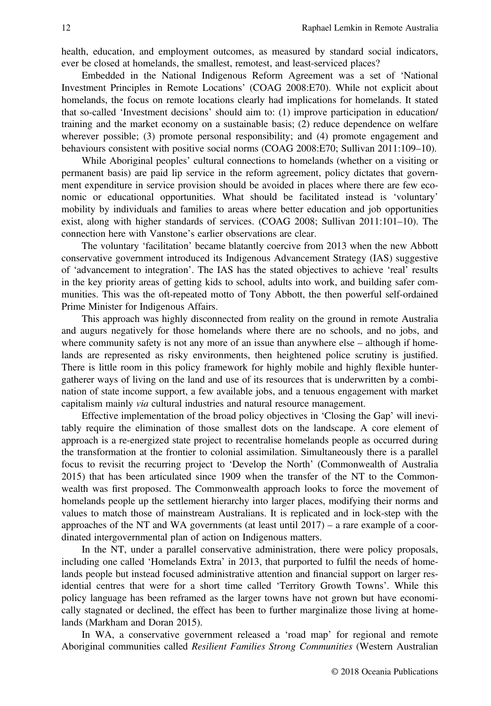health, education, and employment outcomes, as measured by standard social indicators, ever be closed at homelands, the smallest, remotest, and least-serviced places?

Embedded in the National Indigenous Reform Agreement was a set of 'National Investment Principles in Remote Locations' (COAG 2008:E70). While not explicit about homelands, the focus on remote locations clearly had implications for homelands. It stated that so-called 'Investment decisions' should aim to: (1) improve participation in education/ training and the market economy on a sustainable basis; (2) reduce dependence on welfare wherever possible; (3) promote personal responsibility; and (4) promote engagement and behaviours consistent with positive social norms (COAG 2008:E70; Sullivan 2011:109–10).

While Aboriginal peoples' cultural connections to homelands (whether on a visiting or permanent basis) are paid lip service in the reform agreement, policy dictates that government expenditure in service provision should be avoided in places where there are few economic or educational opportunities. What should be facilitated instead is 'voluntary' mobility by individuals and families to areas where better education and job opportunities exist, along with higher standards of services. (COAG 2008; Sullivan 2011:101–10). The connection here with Vanstone's earlier observations are clear.

The voluntary 'facilitation' became blatantly coercive from 2013 when the new Abbott conservative government introduced its Indigenous Advancement Strategy (IAS) suggestive of 'advancement to integration'. The IAS has the stated objectives to achieve 'real' results in the key priority areas of getting kids to school, adults into work, and building safer communities. This was the oft-repeated motto of Tony Abbott, the then powerful self-ordained Prime Minister for Indigenous Affairs.

This approach was highly disconnected from reality on the ground in remote Australia and augurs negatively for those homelands where there are no schools, and no jobs, and where community safety is not any more of an issue than anywhere else – although if homelands are represented as risky environments, then heightened police scrutiny is justified. There is little room in this policy framework for highly mobile and highly flexible huntergatherer ways of living on the land and use of its resources that is underwritten by a combination of state income support, a few available jobs, and a tenuous engagement with market capitalism mainly via cultural industries and natural resource management.

Effective implementation of the broad policy objectives in 'Closing the Gap' will inevitably require the elimination of those smallest dots on the landscape. A core element of approach is a re-energized state project to recentralise homelands people as occurred during the transformation at the frontier to colonial assimilation. Simultaneously there is a parallel focus to revisit the recurring project to 'Develop the North' (Commonwealth of Australia 2015) that has been articulated since 1909 when the transfer of the NT to the Commonwealth was first proposed. The Commonwealth approach looks to force the movement of homelands people up the settlement hierarchy into larger places, modifying their norms and values to match those of mainstream Australians. It is replicated and in lock-step with the approaches of the NT and WA governments (at least until  $2017$ ) – a rare example of a coordinated intergovernmental plan of action on Indigenous matters.

In the NT, under a parallel conservative administration, there were policy proposals, including one called 'Homelands Extra' in 2013, that purported to fulfil the needs of homelands people but instead focused administrative attention and financial support on larger residential centres that were for a short time called 'Territory Growth Towns'. While this policy language has been reframed as the larger towns have not grown but have economically stagnated or declined, the effect has been to further marginalize those living at homelands (Markham and Doran 2015).

In WA, a conservative government released a 'road map' for regional and remote Aboriginal communities called Resilient Families Strong Communities (Western Australian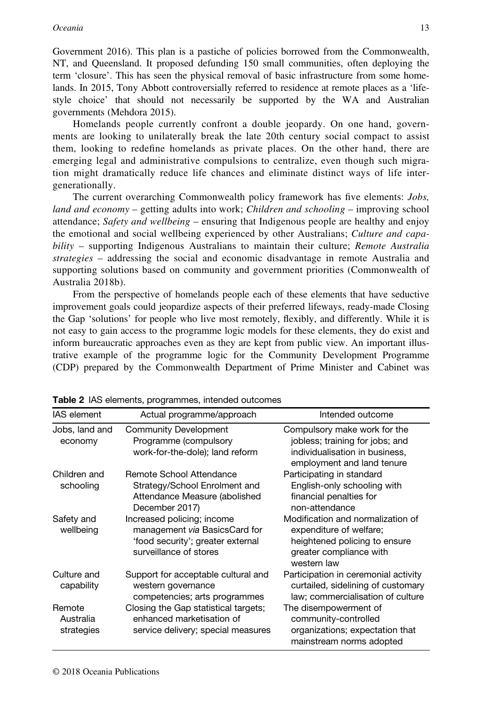Government 2016). This plan is a pastiche of policies borrowed from the Commonwealth, NT, and Queensland. It proposed defunding 150 small communities, often deploying the term 'closure'. This has seen the physical removal of basic infrastructure from some homelands. In 2015, Tony Abbott controversially referred to residence at remote places as a 'lifestyle choice' that should not necessarily be supported by the WA and Australian governments (Mehdora 2015).

Homelands people currently confront a double jeopardy. On one hand, governments are looking to unilaterally break the late 20th century social compact to assist them, looking to redefine homelands as private places. On the other hand, there are emerging legal and administrative compulsions to centralize, even though such migration might dramatically reduce life chances and eliminate distinct ways of life intergenerationally.

The current overarching Commonwealth policy framework has five elements: Jobs, land and economy – getting adults into work; Children and schooling – improving school attendance; Safety and wellbeing – ensuring that Indigenous people are healthy and enjoy the emotional and social wellbeing experienced by other Australians; Culture and capability – supporting Indigenous Australians to maintain their culture; Remote Australia strategies – addressing the social and economic disadvantage in remote Australia and supporting solutions based on community and government priorities (Commonwealth of Australia 2018b).

From the perspective of homelands people each of these elements that have seductive improvement goals could jeopardize aspects of their preferred lifeways, ready-made Closing the Gap 'solutions' for people who live most remotely, flexibly, and differently. While it is not easy to gain access to the programme logic models for these elements, they do exist and inform bureaucratic approaches even as they are kept from public view. An important illustrative example of the programme logic for the Community Development Programme (CDP) prepared by the Commonwealth Department of Prime Minister and Cabinet was

| <b>IAS</b> element                | Actual programme/approach                                                                                                  | Intended outcome                                                                                                                        |
|-----------------------------------|----------------------------------------------------------------------------------------------------------------------------|-----------------------------------------------------------------------------------------------------------------------------------------|
| Jobs, land and<br>economy         | Community Development<br>Programme (compulsory<br>work-for-the-dole); land reform                                          | Compulsory make work for the<br>jobless; training for jobs; and<br>individualisation in business,<br>employment and land tenure         |
| Children and<br>schooling         | Remote School Attendance<br>Strategy/School Enrolment and<br>Attendance Measure (abolished<br>December 2017)               | Participating in standard<br>English-only schooling with<br>financial penalties for<br>non-attendance                                   |
| Safety and<br>wellbeing           | Increased policing; income<br>management via BasicsCard for<br>'food security'; greater external<br>surveillance of stores | Modification and normalization of<br>expenditure of welfare;<br>heightened policing to ensure<br>greater compliance with<br>western law |
| Culture and<br>capability         | Support for acceptable cultural and<br>western governance<br>competencies; arts programmes                                 | Participation in ceremonial activity<br>curtailed, sidelining of customary<br>law; commercialisation of culture                         |
| Remote<br>Australia<br>strategies | Closing the Gap statistical targets;<br>enhanced marketisation of<br>service delivery; special measures                    | The disempowerment of<br>community-controlled<br>organizations; expectation that<br>mainstream norms adopted                            |

Table 2 IAS elements, programmes, intended outcomes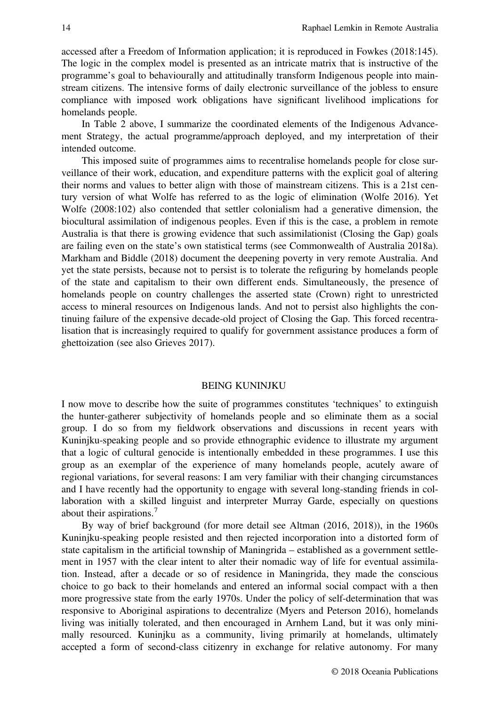accessed after a Freedom of Information application; it is reproduced in Fowkes (2018:145). The logic in the complex model is presented as an intricate matrix that is instructive of the programme's goal to behaviourally and attitudinally transform Indigenous people into mainstream citizens. The intensive forms of daily electronic surveillance of the jobless to ensure compliance with imposed work obligations have significant livelihood implications for homelands people.

In Table 2 above, I summarize the coordinated elements of the Indigenous Advancement Strategy, the actual programme/approach deployed, and my interpretation of their intended outcome.

This imposed suite of programmes aims to recentralise homelands people for close surveillance of their work, education, and expenditure patterns with the explicit goal of altering their norms and values to better align with those of mainstream citizens. This is a 21st century version of what Wolfe has referred to as the logic of elimination (Wolfe 2016). Yet Wolfe (2008:102) also contended that settler colonialism had a generative dimension, the biocultural assimilation of indigenous peoples. Even if this is the case, a problem in remote Australia is that there is growing evidence that such assimilationist (Closing the Gap) goals are failing even on the state's own statistical terms (see Commonwealth of Australia 2018a). Markham and Biddle (2018) document the deepening poverty in very remote Australia. And yet the state persists, because not to persist is to tolerate the refiguring by homelands people of the state and capitalism to their own different ends. Simultaneously, the presence of homelands people on country challenges the asserted state (Crown) right to unrestricted access to mineral resources on Indigenous lands. And not to persist also highlights the continuing failure of the expensive decade-old project of Closing the Gap. This forced recentralisation that is increasingly required to qualify for government assistance produces a form of ghettoization (see also Grieves 2017).

#### BEING KUNINJKU

I now move to describe how the suite of programmes constitutes 'techniques' to extinguish the hunter-gatherer subjectivity of homelands people and so eliminate them as a social group. I do so from my fieldwork observations and discussions in recent years with Kuninjku-speaking people and so provide ethnographic evidence to illustrate my argument that a logic of cultural genocide is intentionally embedded in these programmes. I use this group as an exemplar of the experience of many homelands people, acutely aware of regional variations, for several reasons: I am very familiar with their changing circumstances and I have recently had the opportunity to engage with several long-standing friends in collaboration with a skilled linguist and interpreter Murray Garde, especially on questions about their aspirations.<sup>7</sup>

By way of brief background (for more detail see Altman (2016, 2018)), in the 1960s Kuninjku-speaking people resisted and then rejected incorporation into a distorted form of state capitalism in the artificial township of Maningrida – established as a government settlement in 1957 with the clear intent to alter their nomadic way of life for eventual assimilation. Instead, after a decade or so of residence in Maningrida, they made the conscious choice to go back to their homelands and entered an informal social compact with a then more progressive state from the early 1970s. Under the policy of self-determination that was responsive to Aboriginal aspirations to decentralize (Myers and Peterson 2016), homelands living was initially tolerated, and then encouraged in Arnhem Land, but it was only minimally resourced. Kuninjku as a community, living primarily at homelands, ultimately accepted a form of second-class citizenry in exchange for relative autonomy. For many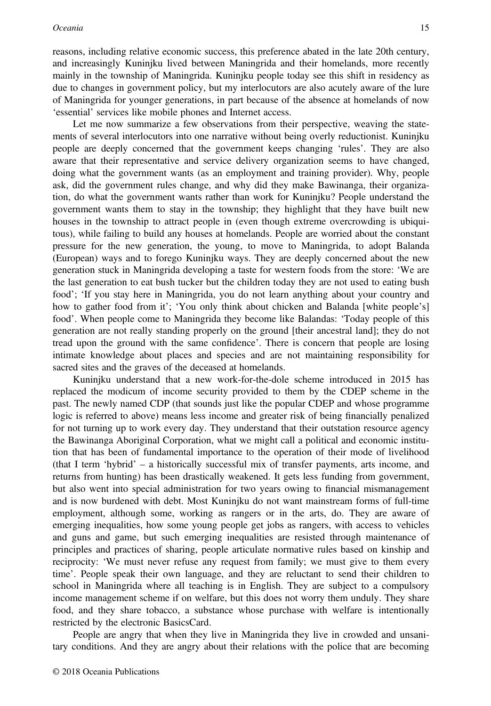reasons, including relative economic success, this preference abated in the late 20th century, and increasingly Kuninjku lived between Maningrida and their homelands, more recently mainly in the township of Maningrida. Kuninjku people today see this shift in residency as due to changes in government policy, but my interlocutors are also acutely aware of the lure of Maningrida for younger generations, in part because of the absence at homelands of now 'essential' services like mobile phones and Internet access.

Let me now summarize a few observations from their perspective, weaving the statements of several interlocutors into one narrative without being overly reductionist. Kuninjku people are deeply concerned that the government keeps changing 'rules'. They are also aware that their representative and service delivery organization seems to have changed, doing what the government wants (as an employment and training provider). Why, people ask, did the government rules change, and why did they make Bawinanga, their organization, do what the government wants rather than work for Kuninjku? People understand the government wants them to stay in the township; they highlight that they have built new houses in the township to attract people in (even though extreme overcrowding is ubiquitous), while failing to build any houses at homelands. People are worried about the constant pressure for the new generation, the young, to move to Maningrida, to adopt Balanda (European) ways and to forego Kuninjku ways. They are deeply concerned about the new generation stuck in Maningrida developing a taste for western foods from the store: 'We are the last generation to eat bush tucker but the children today they are not used to eating bush food'; 'If you stay here in Maningrida, you do not learn anything about your country and how to gather food from it'; 'You only think about chicken and Balanda [white people's] food'. When people come to Maningrida they become like Balandas: 'Today people of this generation are not really standing properly on the ground [their ancestral land]; they do not tread upon the ground with the same confidence'. There is concern that people are losing intimate knowledge about places and species and are not maintaining responsibility for sacred sites and the graves of the deceased at homelands.

Kuninjku understand that a new work-for-the-dole scheme introduced in 2015 has replaced the modicum of income security provided to them by the CDEP scheme in the past. The newly named CDP (that sounds just like the popular CDEP and whose programme logic is referred to above) means less income and greater risk of being financially penalized for not turning up to work every day. They understand that their outstation resource agency the Bawinanga Aboriginal Corporation, what we might call a political and economic institution that has been of fundamental importance to the operation of their mode of livelihood (that I term 'hybrid' – a historically successful mix of transfer payments, arts income, and returns from hunting) has been drastically weakened. It gets less funding from government, but also went into special administration for two years owing to financial mismanagement and is now burdened with debt. Most Kuninjku do not want mainstream forms of full-time employment, although some, working as rangers or in the arts, do. They are aware of emerging inequalities, how some young people get jobs as rangers, with access to vehicles and guns and game, but such emerging inequalities are resisted through maintenance of principles and practices of sharing, people articulate normative rules based on kinship and reciprocity: 'We must never refuse any request from family; we must give to them every time'. People speak their own language, and they are reluctant to send their children to school in Maningrida where all teaching is in English. They are subject to a compulsory income management scheme if on welfare, but this does not worry them unduly. They share food, and they share tobacco, a substance whose purchase with welfare is intentionally restricted by the electronic BasicsCard.

People are angry that when they live in Maningrida they live in crowded and unsanitary conditions. And they are angry about their relations with the police that are becoming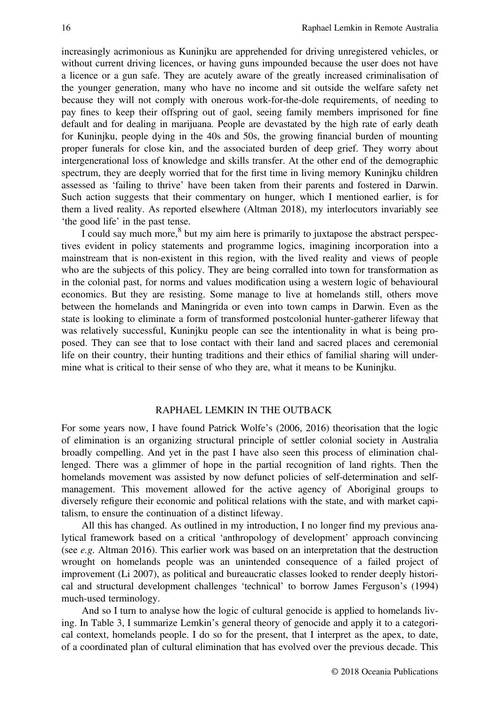increasingly acrimonious as Kuninjku are apprehended for driving unregistered vehicles, or without current driving licences, or having guns impounded because the user does not have a licence or a gun safe. They are acutely aware of the greatly increased criminalisation of the younger generation, many who have no income and sit outside the welfare safety net because they will not comply with onerous work-for-the-dole requirements, of needing to pay fines to keep their offspring out of gaol, seeing family members imprisoned for fine default and for dealing in marijuana. People are devastated by the high rate of early death for Kuninjku, people dying in the 40s and 50s, the growing financial burden of mounting proper funerals for close kin, and the associated burden of deep grief. They worry about intergenerational loss of knowledge and skills transfer. At the other end of the demographic spectrum, they are deeply worried that for the first time in living memory Kuninjku children assessed as 'failing to thrive' have been taken from their parents and fostered in Darwin. Such action suggests that their commentary on hunger, which I mentioned earlier, is for them a lived reality. As reported elsewhere (Altman 2018), my interlocutors invariably see 'the good life' in the past tense.

I could say much more, $8$  but my aim here is primarily to juxtapose the abstract perspectives evident in policy statements and programme logics, imagining incorporation into a mainstream that is non-existent in this region, with the lived reality and views of people who are the subjects of this policy. They are being corralled into town for transformation as in the colonial past, for norms and values modification using a western logic of behavioural economics. But they are resisting. Some manage to live at homelands still, others move between the homelands and Maningrida or even into town camps in Darwin. Even as the state is looking to eliminate a form of transformed postcolonial hunter-gatherer lifeway that was relatively successful, Kuninjku people can see the intentionality in what is being proposed. They can see that to lose contact with their land and sacred places and ceremonial life on their country, their hunting traditions and their ethics of familial sharing will undermine what is critical to their sense of who they are, what it means to be Kuninjku.

## RAPHAEL LEMKIN IN THE OUTBACK

For some years now, I have found Patrick Wolfe's (2006, 2016) theorisation that the logic of elimination is an organizing structural principle of settler colonial society in Australia broadly compelling. And yet in the past I have also seen this process of elimination challenged. There was a glimmer of hope in the partial recognition of land rights. Then the homelands movement was assisted by now defunct policies of self-determination and selfmanagement. This movement allowed for the active agency of Aboriginal groups to diversely refigure their economic and political relations with the state, and with market capitalism, to ensure the continuation of a distinct lifeway.

All this has changed. As outlined in my introduction, I no longer find my previous analytical framework based on a critical 'anthropology of development' approach convincing (see  $e.g.$  Altman 2016). This earlier work was based on an interpretation that the destruction wrought on homelands people was an unintended consequence of a failed project of improvement (Li 2007), as political and bureaucratic classes looked to render deeply historical and structural development challenges 'technical' to borrow James Ferguson's (1994) much-used terminology.

And so I turn to analyse how the logic of cultural genocide is applied to homelands living. In Table 3, I summarize Lemkin's general theory of genocide and apply it to a categorical context, homelands people. I do so for the present, that I interpret as the apex, to date, of a coordinated plan of cultural elimination that has evolved over the previous decade. This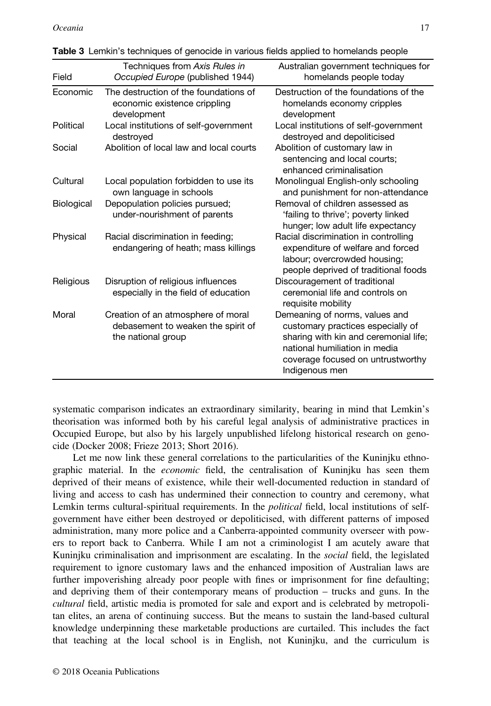|                   | Techniques from Axis Rules in                                                                  | Australian government techniques for                                                                                                                                                                 |
|-------------------|------------------------------------------------------------------------------------------------|------------------------------------------------------------------------------------------------------------------------------------------------------------------------------------------------------|
| Field             | Occupied Europe (published 1944)                                                               | homelands people today                                                                                                                                                                               |
| Economic          | The destruction of the foundations of<br>economic existence crippling<br>development           | Destruction of the foundations of the<br>homelands economy cripples<br>development                                                                                                                   |
| Political         | Local institutions of self-government<br>destroyed                                             | Local institutions of self-government<br>destroyed and depoliticised                                                                                                                                 |
| Social            | Abolition of local law and local courts                                                        | Abolition of customary law in<br>sentencing and local courts;<br>enhanced criminalisation                                                                                                            |
| Cultural          | Local population forbidden to use its<br>own language in schools                               | Monolingual English-only schooling<br>and punishment for non-attendance                                                                                                                              |
| <b>Biological</b> | Depopulation policies pursued;<br>under-nourishment of parents                                 | Removal of children assessed as<br>'failing to thrive'; poverty linked<br>hunger; low adult life expectancy                                                                                          |
| Physical          | Racial discrimination in feeding;<br>endangering of heath; mass killings                       | Racial discrimination in controlling<br>expenditure of welfare and forced<br>labour; overcrowded housing;<br>people deprived of traditional foods                                                    |
| Religious         | Disruption of religious influences<br>especially in the field of education                     | Discouragement of traditional<br>ceremonial life and controls on<br>requisite mobility                                                                                                               |
| Moral             | Creation of an atmosphere of moral<br>debasement to weaken the spirit of<br>the national group | Demeaning of norms, values and<br>customary practices especially of<br>sharing with kin and ceremonial life;<br>national humiliation in media<br>coverage focused on untrustworthy<br>Indigenous men |

Table 3 Lemkin's techniques of genocide in various fields applied to homelands people

systematic comparison indicates an extraordinary similarity, bearing in mind that Lemkin's theorisation was informed both by his careful legal analysis of administrative practices in Occupied Europe, but also by his largely unpublished lifelong historical research on genocide (Docker 2008; Frieze 2013; Short 2016).

Let me now link these general correlations to the particularities of the Kuninjku ethnographic material. In the economic field, the centralisation of Kuninjku has seen them deprived of their means of existence, while their well-documented reduction in standard of living and access to cash has undermined their connection to country and ceremony, what Lemkin terms cultural-spiritual requirements. In the *political* field, local institutions of selfgovernment have either been destroyed or depoliticised, with different patterns of imposed administration, many more police and a Canberra-appointed community overseer with powers to report back to Canberra. While I am not a criminologist I am acutely aware that Kuninjku criminalisation and imprisonment are escalating. In the *social* field, the legislated requirement to ignore customary laws and the enhanced imposition of Australian laws are further impoverishing already poor people with fines or imprisonment for fine defaulting; and depriving them of their contemporary means of production – trucks and guns. In the cultural field, artistic media is promoted for sale and export and is celebrated by metropolitan elites, an arena of continuing success. But the means to sustain the land-based cultural knowledge underpinning these marketable productions are curtailed. This includes the fact that teaching at the local school is in English, not Kuninjku, and the curriculum is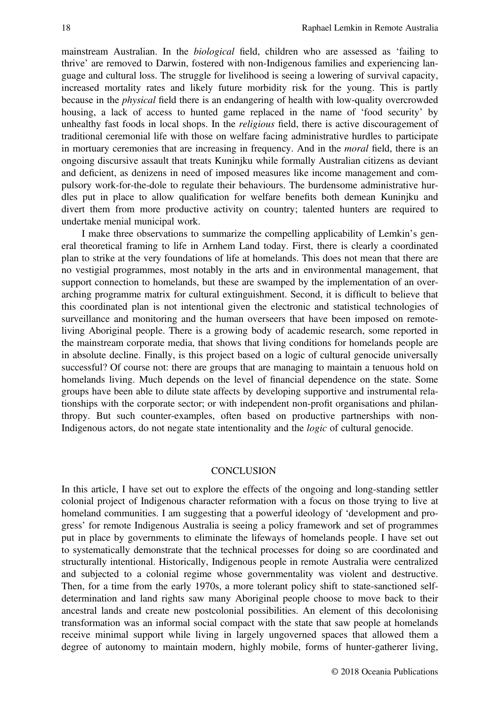mainstream Australian. In the *biological* field, children who are assessed as 'failing to thrive' are removed to Darwin, fostered with non-Indigenous families and experiencing language and cultural loss. The struggle for livelihood is seeing a lowering of survival capacity, increased mortality rates and likely future morbidity risk for the young. This is partly because in the physical field there is an endangering of health with low-quality overcrowded housing, a lack of access to hunted game replaced in the name of 'food security' by unhealthy fast foods in local shops. In the *religious* field, there is active discouragement of traditional ceremonial life with those on welfare facing administrative hurdles to participate in mortuary ceremonies that are increasing in frequency. And in the *moral* field, there is an ongoing discursive assault that treats Kuninjku while formally Australian citizens as deviant and deficient, as denizens in need of imposed measures like income management and compulsory work-for-the-dole to regulate their behaviours. The burdensome administrative hurdles put in place to allow qualification for welfare benefits both demean Kuninjku and divert them from more productive activity on country; talented hunters are required to undertake menial municipal work.

I make three observations to summarize the compelling applicability of Lemkin's general theoretical framing to life in Arnhem Land today. First, there is clearly a coordinated plan to strike at the very foundations of life at homelands. This does not mean that there are no vestigial programmes, most notably in the arts and in environmental management, that support connection to homelands, but these are swamped by the implementation of an overarching programme matrix for cultural extinguishment. Second, it is difficult to believe that this coordinated plan is not intentional given the electronic and statistical technologies of surveillance and monitoring and the human overseers that have been imposed on remoteliving Aboriginal people. There is a growing body of academic research, some reported in the mainstream corporate media, that shows that living conditions for homelands people are in absolute decline. Finally, is this project based on a logic of cultural genocide universally successful? Of course not: there are groups that are managing to maintain a tenuous hold on homelands living. Much depends on the level of financial dependence on the state. Some groups have been able to dilute state affects by developing supportive and instrumental relationships with the corporate sector; or with independent non-profit organisations and philanthropy. But such counter-examples, often based on productive partnerships with non-Indigenous actors, do not negate state intentionality and the logic of cultural genocide.

#### **CONCLUSION**

In this article, I have set out to explore the effects of the ongoing and long-standing settler colonial project of Indigenous character reformation with a focus on those trying to live at homeland communities. I am suggesting that a powerful ideology of 'development and progress' for remote Indigenous Australia is seeing a policy framework and set of programmes put in place by governments to eliminate the lifeways of homelands people. I have set out to systematically demonstrate that the technical processes for doing so are coordinated and structurally intentional. Historically, Indigenous people in remote Australia were centralized and subjected to a colonial regime whose governmentality was violent and destructive. Then, for a time from the early 1970s, a more tolerant policy shift to state-sanctioned selfdetermination and land rights saw many Aboriginal people choose to move back to their ancestral lands and create new postcolonial possibilities. An element of this decolonising transformation was an informal social compact with the state that saw people at homelands receive minimal support while living in largely ungoverned spaces that allowed them a degree of autonomy to maintain modern, highly mobile, forms of hunter-gatherer living,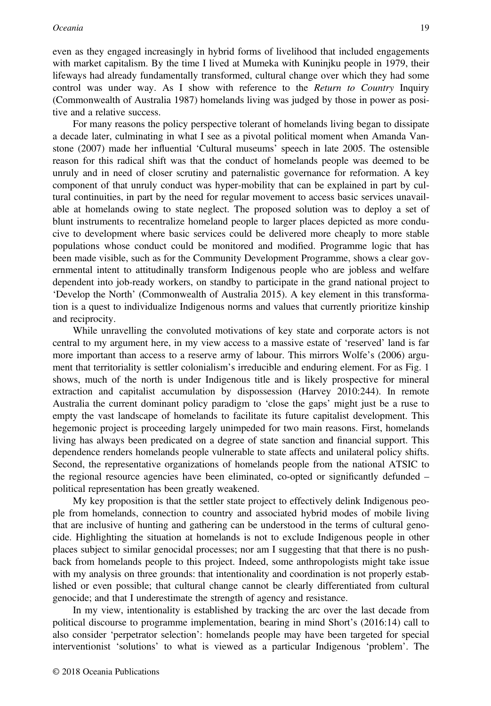even as they engaged increasingly in hybrid forms of livelihood that included engagements with market capitalism. By the time I lived at Mumeka with Kuninjku people in 1979, their lifeways had already fundamentally transformed, cultural change over which they had some control was under way. As I show with reference to the Return to Country Inquiry (Commonwealth of Australia 1987) homelands living was judged by those in power as positive and a relative success.

For many reasons the policy perspective tolerant of homelands living began to dissipate a decade later, culminating in what I see as a pivotal political moment when Amanda Vanstone (2007) made her influential 'Cultural museums' speech in late 2005. The ostensible reason for this radical shift was that the conduct of homelands people was deemed to be unruly and in need of closer scrutiny and paternalistic governance for reformation. A key component of that unruly conduct was hyper-mobility that can be explained in part by cultural continuities, in part by the need for regular movement to access basic services unavailable at homelands owing to state neglect. The proposed solution was to deploy a set of blunt instruments to recentralize homeland people to larger places depicted as more conducive to development where basic services could be delivered more cheaply to more stable populations whose conduct could be monitored and modified. Programme logic that has been made visible, such as for the Community Development Programme, shows a clear governmental intent to attitudinally transform Indigenous people who are jobless and welfare dependent into job-ready workers, on standby to participate in the grand national project to 'Develop the North' (Commonwealth of Australia 2015). A key element in this transformation is a quest to individualize Indigenous norms and values that currently prioritize kinship and reciprocity.

While unravelling the convoluted motivations of key state and corporate actors is not central to my argument here, in my view access to a massive estate of 'reserved' land is far more important than access to a reserve army of labour. This mirrors Wolfe's (2006) argument that territoriality is settler colonialism's irreducible and enduring element. For as Fig. 1 shows, much of the north is under Indigenous title and is likely prospective for mineral extraction and capitalist accumulation by dispossession (Harvey 2010:244). In remote Australia the current dominant policy paradigm to 'close the gaps' might just be a ruse to empty the vast landscape of homelands to facilitate its future capitalist development. This hegemonic project is proceeding largely unimpeded for two main reasons. First, homelands living has always been predicated on a degree of state sanction and financial support. This dependence renders homelands people vulnerable to state affects and unilateral policy shifts. Second, the representative organizations of homelands people from the national ATSIC to the regional resource agencies have been eliminated, co-opted or significantly defunded – political representation has been greatly weakened.

My key proposition is that the settler state project to effectively delink Indigenous people from homelands, connection to country and associated hybrid modes of mobile living that are inclusive of hunting and gathering can be understood in the terms of cultural genocide. Highlighting the situation at homelands is not to exclude Indigenous people in other places subject to similar genocidal processes; nor am I suggesting that that there is no pushback from homelands people to this project. Indeed, some anthropologists might take issue with my analysis on three grounds: that intentionality and coordination is not properly established or even possible; that cultural change cannot be clearly differentiated from cultural genocide; and that I underestimate the strength of agency and resistance.

In my view, intentionality is established by tracking the arc over the last decade from political discourse to programme implementation, bearing in mind Short's (2016:14) call to also consider 'perpetrator selection': homelands people may have been targeted for special interventionist 'solutions' to what is viewed as a particular Indigenous 'problem'. The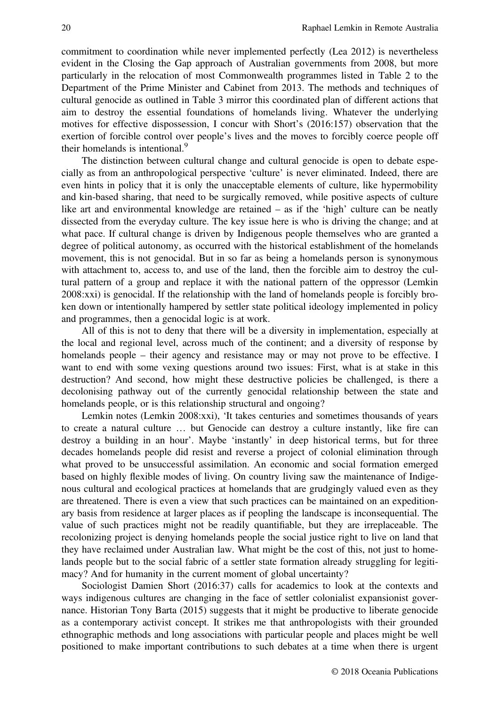commitment to coordination while never implemented perfectly (Lea 2012) is nevertheless evident in the Closing the Gap approach of Australian governments from 2008, but more particularly in the relocation of most Commonwealth programmes listed in Table 2 to the Department of the Prime Minister and Cabinet from 2013. The methods and techniques of cultural genocide as outlined in Table 3 mirror this coordinated plan of different actions that aim to destroy the essential foundations of homelands living. Whatever the underlying motives for effective dispossession, I concur with Short's (2016:157) observation that the exertion of forcible control over people's lives and the moves to forcibly coerce people off their homelands is intentional.<sup>9</sup>

The distinction between cultural change and cultural genocide is open to debate especially as from an anthropological perspective 'culture' is never eliminated. Indeed, there are even hints in policy that it is only the unacceptable elements of culture, like hypermobility and kin-based sharing, that need to be surgically removed, while positive aspects of culture like art and environmental knowledge are retained – as if the 'high' culture can be neatly dissected from the everyday culture. The key issue here is who is driving the change; and at what pace. If cultural change is driven by Indigenous people themselves who are granted a degree of political autonomy, as occurred with the historical establishment of the homelands movement, this is not genocidal. But in so far as being a homelands person is synonymous with attachment to, access to, and use of the land, then the forcible aim to destroy the cultural pattern of a group and replace it with the national pattern of the oppressor (Lemkin 2008:xxi) is genocidal. If the relationship with the land of homelands people is forcibly broken down or intentionally hampered by settler state political ideology implemented in policy and programmes, then a genocidal logic is at work.

All of this is not to deny that there will be a diversity in implementation, especially at the local and regional level, across much of the continent; and a diversity of response by homelands people – their agency and resistance may or may not prove to be effective. I want to end with some vexing questions around two issues: First, what is at stake in this destruction? And second, how might these destructive policies be challenged, is there a decolonising pathway out of the currently genocidal relationship between the state and homelands people, or is this relationship structural and ongoing?

Lemkin notes (Lemkin 2008:xxi), 'It takes centuries and sometimes thousands of years to create a natural culture … but Genocide can destroy a culture instantly, like fire can destroy a building in an hour'. Maybe 'instantly' in deep historical terms, but for three decades homelands people did resist and reverse a project of colonial elimination through what proved to be unsuccessful assimilation. An economic and social formation emerged based on highly flexible modes of living. On country living saw the maintenance of Indigenous cultural and ecological practices at homelands that are grudgingly valued even as they are threatened. There is even a view that such practices can be maintained on an expeditionary basis from residence at larger places as if peopling the landscape is inconsequential. The value of such practices might not be readily quantifiable, but they are irreplaceable. The recolonizing project is denying homelands people the social justice right to live on land that they have reclaimed under Australian law. What might be the cost of this, not just to homelands people but to the social fabric of a settler state formation already struggling for legitimacy? And for humanity in the current moment of global uncertainty?

Sociologist Damien Short (2016:37) calls for academics to look at the contexts and ways indigenous cultures are changing in the face of settler colonialist expansionist governance. Historian Tony Barta (2015) suggests that it might be productive to liberate genocide as a contemporary activist concept. It strikes me that anthropologists with their grounded ethnographic methods and long associations with particular people and places might be well positioned to make important contributions to such debates at a time when there is urgent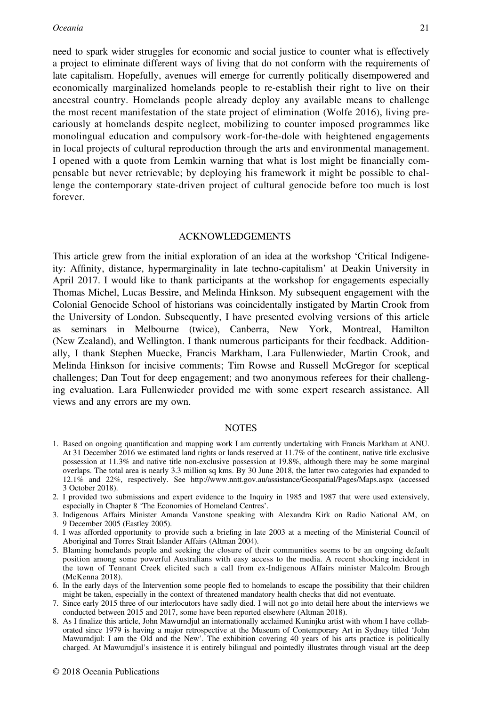need to spark wider struggles for economic and social justice to counter what is effectively a project to eliminate different ways of living that do not conform with the requirements of late capitalism. Hopefully, avenues will emerge for currently politically disempowered and economically marginalized homelands people to re-establish their right to live on their ancestral country. Homelands people already deploy any available means to challenge the most recent manifestation of the state project of elimination (Wolfe 2016), living precariously at homelands despite neglect, mobilizing to counter imposed programmes like monolingual education and compulsory work-for-the-dole with heightened engagements in local projects of cultural reproduction through the arts and environmental management. I opened with a quote from Lemkin warning that what is lost might be financially compensable but never retrievable; by deploying his framework it might be possible to challenge the contemporary state-driven project of cultural genocide before too much is lost forever.

#### ACKNOWLEDGEMENTS

This article grew from the initial exploration of an idea at the workshop 'Critical Indigeneity: Affinity, distance, hypermarginality in late techno-capitalism' at Deakin University in April 2017. I would like to thank participants at the workshop for engagements especially Thomas Michel, Lucas Bessire, and Melinda Hinkson. My subsequent engagement with the Colonial Genocide School of historians was coincidentally instigated by Martin Crook from the University of London. Subsequently, I have presented evolving versions of this article as seminars in Melbourne (twice), Canberra, New York, Montreal, Hamilton (New Zealand), and Wellington. I thank numerous participants for their feedback. Additionally, I thank Stephen Muecke, Francis Markham, Lara Fullenwieder, Martin Crook, and Melinda Hinkson for incisive comments; Tim Rowse and Russell McGregor for sceptical challenges; Dan Tout for deep engagement; and two anonymous referees for their challenging evaluation. Lara Fullenwieder provided me with some expert research assistance. All views and any errors are my own.

#### **NOTES**

- 1. Based on ongoing quantification and mapping work I am currently undertaking with Francis Markham at ANU. At 31 December 2016 we estimated land rights or lands reserved at 11.7% of the continent, native title exclusive possession at 11.3% and native title non-exclusive possession at 19.8%, although there may be some marginal overlaps. The total area is nearly 3.3 million sq kms. By 30 June 2018, the latter two categories had expanded to 12.1% and 22%, respectively. See<http://www.nntt.gov.au/assistance/Geospatial/Pages/Maps.aspx> (accessed 3 October 2018).
- 2. I provided two submissions and expert evidence to the Inquiry in 1985 and 1987 that were used extensively, especially in Chapter 8 'The Economies of Homeland Centres'.
- 3. Indigenous Affairs Minister Amanda Vanstone speaking with Alexandra Kirk on Radio National AM, on 9 December 2005 (Eastley 2005).
- 4. I was afforded opportunity to provide such a briefing in late 2003 at a meeting of the Ministerial Council of Aboriginal and Torres Strait Islander Affairs (Altman 2004).
- 5. Blaming homelands people and seeking the closure of their communities seems to be an ongoing default position among some powerful Australians with easy access to the media. A recent shocking incident in the town of Tennant Creek elicited such a call from ex-Indigenous Affairs minister Malcolm Brough (McKenna 2018).
- 6. In the early days of the Intervention some people fled to homelands to escape the possibility that their children might be taken, especially in the context of threatened mandatory health checks that did not eventuate.
- 7. Since early 2015 three of our interlocutors have sadly died. I will not go into detail here about the interviews we conducted between 2015 and 2017, some have been reported elsewhere (Altman 2018).
- 8. As I finalize this article, John Mawurndjul an internationally acclaimed Kuninjku artist with whom I have collaborated since 1979 is having a major retrospective at the Museum of Contemporary Art in Sydney titled 'John Mawurndjul: I am the Old and the New'. The exhibition covering 40 years of his arts practice is politically charged. At Mawurndjul's insistence it is entirely bilingual and pointedly illustrates through visual art the deep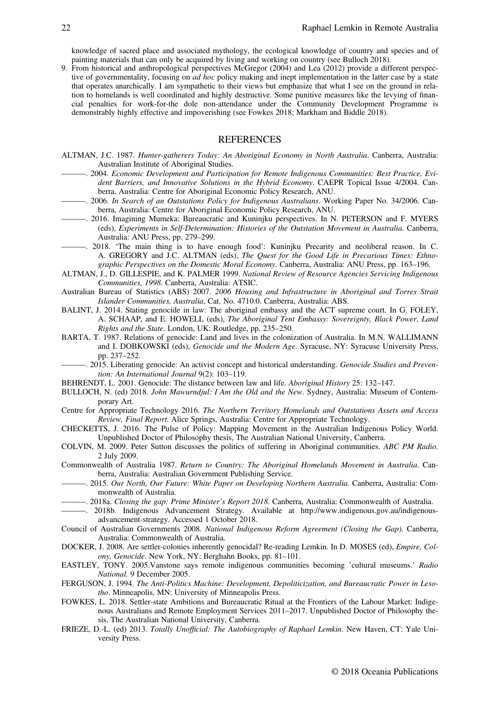knowledge of sacred place and associated mythology, the ecological knowledge of country and species and of painting materials that can only be acquired by living and working on country (see Bulloch 2018).

9. From historical and anthropological perspectives McGregor (2004) and Lea (2012) provide a different perspective of governmentality, focusing on *ad hoc* policy making and inept implementation in the latter case by a state that operates anarchically. I am sympathetic to their views but emphasize that what I see on the ground in relation to homelands is well coordinated and highly destructive. Some punitive measures like the levying of financial penalties for work-for-the dole non-attendance under the Community Development Programme is demonstrably highly effective and impoverishing (see Fowkes 2018; Markham and Biddle 2018).

#### REFERENCES

- ALTMAN, J.C. 1987. Hunter-gatherers Today: An Aboriginal Economy in North Australia. Canberra, Australia: Australian Institute of Aboriginal Studies.
	- ———. 2004. Economic Development and Participation for Remote Indigenous Communities: Best Practice, Evident Barriers, and Innovative Solutions in the Hybrid Economy. CAEPR Topical Issue 4/2004. Canberra, Australia: Centre for Aboriginal Economic Policy Research, ANU.
	- ———. 2006. In Search of an Outstations Policy for Indigenous Australians. Working Paper No. 34/2006. Canberra, Australia: Centre for Aboriginal Economic Policy Research, ANU.
	- ———. 2016. Imagining Mumeka: Bureaucratic and Kuninjku perspectives. In N. PETERSON and F. MYERS (eds), Experiments in Self-Determination: Histories of the Outstation Movement in Australia. Canberra, Australia: ANU Press, pp. 279–299.
		- ———. 2018. 'The main thing is to have enough food': Kuninjku Precarity and neoliberal reason. In C. A. GREGORY and J.C. ALTMAN (eds), The Quest for the Good Life in Precarious Times: Ethnographic Perspectives on the Domestic Moral Economy. Canberra, Australia: ANU Press, pp. 163–196.
- ALTMAN, J., D. GILLESPIE, and K. PALMER 1999. National Review of Resource Agencies Servicing Indigenous Communities, 1998. Canberra, Australia: ATSIC.
- Australian Bureau of Statistics (ABS) 2007. 2006 Housing and Infrastructure in Aboriginal and Torres Strait Islander Communities, Australia, Cat. No. 4710.0. Canberra, Australia: ABS.
- BALINT, J. 2014. Stating genocide in law: The aboriginal embassy and the ACT supreme court. In G. FOLEY, A. SCHAAP, and E. HOWELL (eds), The Aboriginal Tent Embassy: Sovereignty, Black Power, Land Rights and the State. London, UK: Routledge, pp. 235–250.
- BARTA, T. 1987. Relations of genocide: Land and lives in the colonization of Australia. In M.N. WALLIMANN and I. DOBKOWSKI (eds), Genocide and the Modern Age. Syracuse, NY: Syracuse University Press, pp. 237–252.
- -. 2015. Liberating genocide: An activist concept and historical understanding. Genocide Studies and Prevention: An International Journal 9(2): 103–119.
- BEHRENDT, L. 2001. Genocide: The distance between law and life. Aboriginal History 25: 132–147.
- BULLOCH, N. (ed) 2018. John Mawurndjul: I Am the Old and the New. Sydney, Australia: Museum of Contemporary Art.
- Centre for Appropriate Technology 2016. The Northern Territory Homelands and Outstations Assets and Access Review, Final Report. Alice Springs, Australia: Centre for Appropriate Technology.
- CHECKETTS, J. 2016. The Pulse of Policy: Mapping Movement in the Australian Indigenous Policy World. Unpublished Doctor of Philosophy thesis, The Australian National University, Canberra.
- COLVIN, M. 2009. Peter Sutton discusses the politics of suffering in Aboriginal communities. ABC PM Radio. 2 July 2009.
- Commonwealth of Australia 1987. Return to Country: The Aboriginal Homelands Movement in Australia. Canberra, Australia: Australian Government Publishing Service.
- -. 2015. Our North, Our Future: White Paper on Developing Northern Australia. Canberra, Australia: Commonwealth of Australia.
	- ———. 2018a. Closing the gap: Prime Minister's Report 2018. Canberra, Australia: Commonwealth of Australia.
- ———. 2018b. Indigenous Advancement Strategy. Available at [http://www.indigenous.gov.au/indigenous](http://www.indigenous.gov.au/indigenous-advancement-strategy)[advancement-strategy.](http://www.indigenous.gov.au/indigenous-advancement-strategy) Accessed 1 October 2018.
- Council of Australian Governments 2008. National Indigenous Reform Agreement (Closing the Gap). Canberra, Australia: Commonwealth of Australia.
- DOCKER, J. 2008. Are settler-colonies inherently genocidal? Re-reading Lemkin. In D. MOSES (ed), Empire, Colony, Genocide. New York, NY: Berghahn Books, pp. 81–101.
- EASTLEY, TONY. 2005.Vanstone says remote indigenous communities becoming 'cultural museums.' Radio National. 9 December 2005.
- FERGUSON, J. 1994. The Anti-Politics Machine: Development, Depoliticization, and Bureaucratic Power in Lesotho. Minneapolis, MN: University of Minneapolis Press.
- FOWKES, L. 2018. Settler-state Ambitions and Bureaucratic Ritual at the Frontiers of the Labour Market: Indigenous Australians and Remote Employment Services 2011–2017. Unpublished Doctor of Philosophy thesis. The Australian National University, Canberra.
- FRIEZE, D.-L. (ed) 2013. Totally Unofficial: The Autobiography of Raphael Lemkin. New Haven, CT: Yale University Press.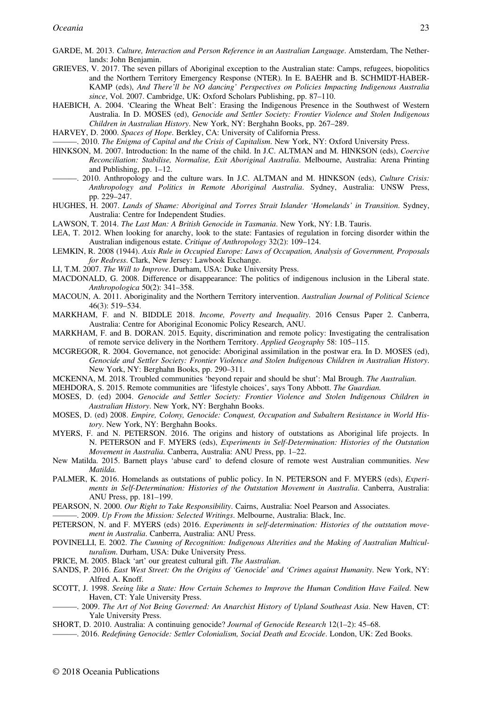GARDE, M. 2013. Culture, Interaction and Person Reference in an Australian Language. Amsterdam, The Netherlands: John Benjamin.

- GRIEVES, V. 2017. The seven pillars of Aboriginal exception to the Australian state: Camps, refugees, biopolitics and the Northern Territory Emergency Response (NTER). In E. BAEHR and B. SCHMIDT-HABER-KAMP (eds), And There'll be NO dancing' Perspectives on Policies Impacting Indigenous Australia since, Vol. 2007. Cambridge, UK: Oxford Scholars Publishing, pp. 87–110.
- HAEBICH, A. 2004. 'Clearing the Wheat Belt': Erasing the Indigenous Presence in the Southwest of Western Australia. In D. MOSES (ed), Genocide and Settler Society: Frontier Violence and Stolen Indigenous Children in Australian History. New York, NY: Berghahn Books, pp. 267–289.
- HARVEY, D. 2000. Spaces of Hope. Berkley, CA: University of California Press.
- -. 2010. The Enigma of Capital and the Crisis of Capitalism. New York, NY: Oxford University Press.
- HINKSON, M. 2007. Introduction: In the name of the child. In J.C. ALTMAN and M. HINKSON (eds), Coercive Reconciliation: Stabilise, Normalise, Exit Aboriginal Australia. Melbourne, Australia: Arena Printing and Publishing, pp. 1–12.
	- -. 2010. Anthropology and the culture wars. In J.C. ALTMAN and M. HINKSON (eds), Culture Crisis: Anthropology and Politics in Remote Aboriginal Australia. Sydney, Australia: UNSW Press, pp. 229–247.
- HUGHES, H. 2007. Lands of Shame: Aboriginal and Torres Strait Islander 'Homelands' in Transition. Sydney, Australia: Centre for Independent Studies.
- LAWSON, T. 2014. The Last Man: A British Genocide in Tasmania. New York, NY: I.B. Tauris.
- LEA, T. 2012. When looking for anarchy, look to the state: Fantasies of regulation in forcing disorder within the Australian indigenous estate. Critique of Anthropology 32(2): 109–124.
- LEMKIN, R. 2008 (1944). Axis Rule in Occupied Europe: Laws of Occupation, Analysis of Government, Proposals for Redress. Clark, New Jersey: Lawbook Exchange.
- LI, T.M. 2007. The Will to Improve. Durham, USA: Duke University Press.
- MACDONALD, G. 2008. Difference or disappearance: The politics of indigenous inclusion in the Liberal state. Anthropologica 50(2): 341–358.
- MACOUN, A. 2011. Aboriginality and the Northern Territory intervention. Australian Journal of Political Science 46(3): 519–534.
- MARKHAM, F. and N. BIDDLE 2018. Income, Poverty and Inequality. 2016 Census Paper 2. Canberra, Australia: Centre for Aboriginal Economic Policy Research, ANU.
- MARKHAM, F. and B. DORAN. 2015. Equity, discrimination and remote policy: Investigating the centralisation of remote service delivery in the Northern Territory. Applied Geography 58: 105–115.
- MCGREGOR, R. 2004. Governance, not genocide: Aboriginal assimilation in the postwar era. In D. MOSES (ed), Genocide and Settler Society: Frontier Violence and Stolen Indigenous Children in Australian History. New York, NY: Berghahn Books, pp. 290–311.
- MCKENNA, M. 2018. Troubled communities 'beyond repair and should be shut': Mal Brough. The Australian.
- MEHDORA, S. 2015. Remote communities are 'lifestyle choices', says Tony Abbott. The Guardian.
- MOSES, D. (ed) 2004. Genocide and Settler Society: Frontier Violence and Stolen Indigenous Children in Australian History. New York, NY: Berghahn Books.
- MOSES, D. (ed) 2008. Empire, Colony, Genocide: Conquest, Occupation and Subaltern Resistance in World History. New York, NY: Berghahn Books.
- MYERS, F. and N. PETERSON. 2016. The origins and history of outstations as Aboriginal life projects. In N. PETERSON and F. MYERS (eds), Experiments in Self-Determination: Histories of the Outstation Movement in Australia. Canberra, Australia: ANU Press, pp. 1–22.
- New Matilda. 2015. Barnett plays 'abuse card' to defend closure of remote west Australian communities. New Matilda.
- PALMER, K. 2016. Homelands as outstations of public policy. In N. PETERSON and F. MYERS (eds), Experiments in Self-Determination: Histories of the Outstation Movement in Australia. Canberra, Australia: ANU Press, pp. 181–199.
- PEARSON, N. 2000. Our Right to Take Responsibility. Cairns, Australia: Noel Pearson and Associates.
- . 2009. Up From the Mission: Selected Writings. Melbourne, Australia: Black, Inc.
- PETERSON, N. and F. MYERS (eds) 2016. Experiments in self-determination: Histories of the outstation movement in Australia. Canberra, Australia: ANU Press.
- POVINELLI, E. 2002. The Cunning of Recognition: Indigenous Alterities and the Making of Australian Multiculturalism. Durham, USA: Duke University Press.
- PRICE, M. 2005. Black 'art' our greatest cultural gift. The Australian.
- SANDS, P. 2016. East West Street: On the Origins of 'Genocide' and 'Crimes against Humanity. New York, NY: Alfred A. Knoff.
- SCOTT, J. 1998. Seeing like a State: How Certain Schemes to Improve the Human Condition Have Failed. New Haven, CT: Yale University Press.
	- ———. 2009. The Art of Not Being Governed: An Anarchist History of Upland Southeast Asia. New Haven, CT: Yale University Press.
- SHORT, D. 2010. Australia: A continuing genocide? Journal of Genocide Research 12(1-2): 45-68.
- -. 2016. Redefining Genocide: Settler Colonialism, Social Death and Ecocide. London, UK: Zed Books.